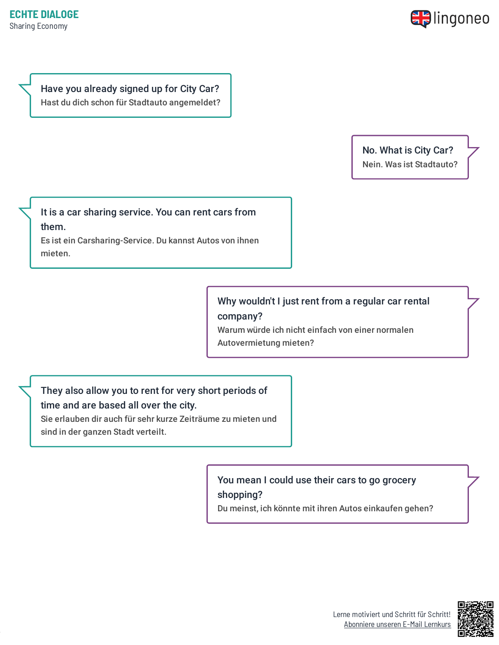

Have you already signed up for City Car? Hast du dich schon für Stadtauto angemeldet?

> No. What is City Car? Nein. Was ist Stadtauto?

It is a car sharing service. You can rent cars from them. Es ist ein Carsharing-Service. Du kannst Autos von ihnen mieten.

## Why wouldn't I just rent from a regular car rental company?

Warum würde ich nicht einfach von einer normalen Autovermietung mieten?

## They also allow you to rent for very short periods of time and are based all over the city.

Sie erlauben dir auch für sehr kurze Zeiträume zu mieten und sind in der ganzen Stadt verteilt.

> You mean I could use their cars to go grocery shopping?

Du meinst, ich könnte mit ihren Autos einkaufen gehen?